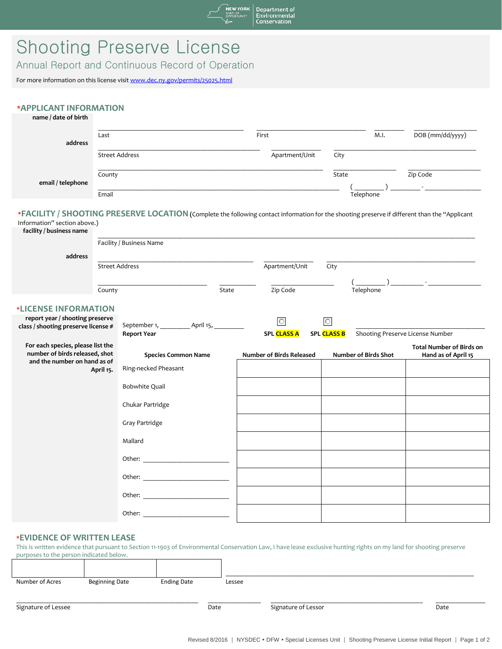

Shooting Preserve License

Annual Report and Continuous Record of Operation

For more information on this license visit www.dec.ny.gov/permits/25025.html

## \***APPLICANT INFORMATION name / date of birth**

| name / date or birth                                                                                             |                       |                                                                                                                                                                                                                                |       |                                 |             |                             |  |                                                        |  |
|------------------------------------------------------------------------------------------------------------------|-----------------------|--------------------------------------------------------------------------------------------------------------------------------------------------------------------------------------------------------------------------------|-------|---------------------------------|-------------|-----------------------------|--|--------------------------------------------------------|--|
| address                                                                                                          | Last                  |                                                                                                                                                                                                                                |       | First                           |             | M.I.                        |  | DOB (mm/dd/yyyy)                                       |  |
|                                                                                                                  | <b>Street Address</b> |                                                                                                                                                                                                                                |       | Apartment/Unit                  |             | City                        |  |                                                        |  |
| email / telephone                                                                                                | County                |                                                                                                                                                                                                                                |       |                                 |             | State                       |  | Zip Code                                               |  |
|                                                                                                                  | Email                 |                                                                                                                                                                                                                                |       |                                 |             | Telephone                   |  | the control of the control of the con-                 |  |
| Information" section above.)<br>facility / business name                                                         |                       | *FACILITY / SHOOTING PRESERVE LOCATION (Complete the following contact information for the shooting preserve if different than the "Applicant                                                                                  |       |                                 |             |                             |  |                                                        |  |
|                                                                                                                  |                       | Facility / Business Name                                                                                                                                                                                                       |       |                                 |             |                             |  |                                                        |  |
| address                                                                                                          |                       | Apartment/Unit<br><b>Street Address</b><br>City                                                                                                                                                                                |       |                                 |             |                             |  |                                                        |  |
|                                                                                                                  |                       |                                                                                                                                                                                                                                |       |                                 |             |                             |  |                                                        |  |
|                                                                                                                  | County                |                                                                                                                                                                                                                                | State | Zip Code                        |             |                             |  |                                                        |  |
| *LICENSE INFORMATION                                                                                             |                       |                                                                                                                                                                                                                                |       |                                 |             |                             |  |                                                        |  |
| report year / shooting preserve                                                                                  |                       |                                                                                                                                                                                                                                |       | ΙO                              | $\circ$     |                             |  |                                                        |  |
| class / shooting preserve license #                                                                              |                       | September 1, April 15,<br><b>Report Year</b>                                                                                                                                                                                   |       | SPL CLASS A                     | SPL CLASS B |                             |  | Shooting Preserve License Number                       |  |
| For each species, please list the<br>number of birds released, shot<br>and the number on hand as of<br>April 15. |                       | <b>Species Common Name</b>                                                                                                                                                                                                     |       | <b>Number of Birds Released</b> |             | <b>Number of Birds Shot</b> |  | <b>Total Number of Birds on</b><br>Hand as of April 15 |  |
|                                                                                                                  |                       | Ring-necked Pheasant                                                                                                                                                                                                           |       |                                 |             |                             |  |                                                        |  |
|                                                                                                                  |                       | <b>Bobwhite Quail</b>                                                                                                                                                                                                          |       |                                 |             |                             |  |                                                        |  |
|                                                                                                                  |                       | Chukar Partridge                                                                                                                                                                                                               |       |                                 |             |                             |  |                                                        |  |
|                                                                                                                  |                       | Gray Partridge                                                                                                                                                                                                                 |       |                                 |             |                             |  |                                                        |  |
|                                                                                                                  |                       | Mallard                                                                                                                                                                                                                        |       |                                 |             |                             |  |                                                        |  |
|                                                                                                                  |                       |                                                                                                                                                                                                                                |       |                                 |             |                             |  |                                                        |  |
|                                                                                                                  |                       |                                                                                                                                                                                                                                |       |                                 |             |                             |  |                                                        |  |
|                                                                                                                  |                       |                                                                                                                                                                                                                                |       |                                 |             |                             |  |                                                        |  |
|                                                                                                                  |                       | Other: and the contract of the contract of the contract of the contract of the contract of the contract of the contract of the contract of the contract of the contract of the contract of the contract of the contract of the |       |                                 |             |                             |  |                                                        |  |

## \***EVIDENCE OF WRITTEN LEASE**

This is written evidence that pursuant to Section 11-1903 of Environmental Conservation Law, I have lease exclusive hunting rights on my land for shooting preserve purposes to the person indicated below.

| Number of Acres<br><b>Ending Date</b><br><b>Beginning Date</b><br>Lessee |  |  |  |
|--------------------------------------------------------------------------|--|--|--|
|                                                                          |  |  |  |